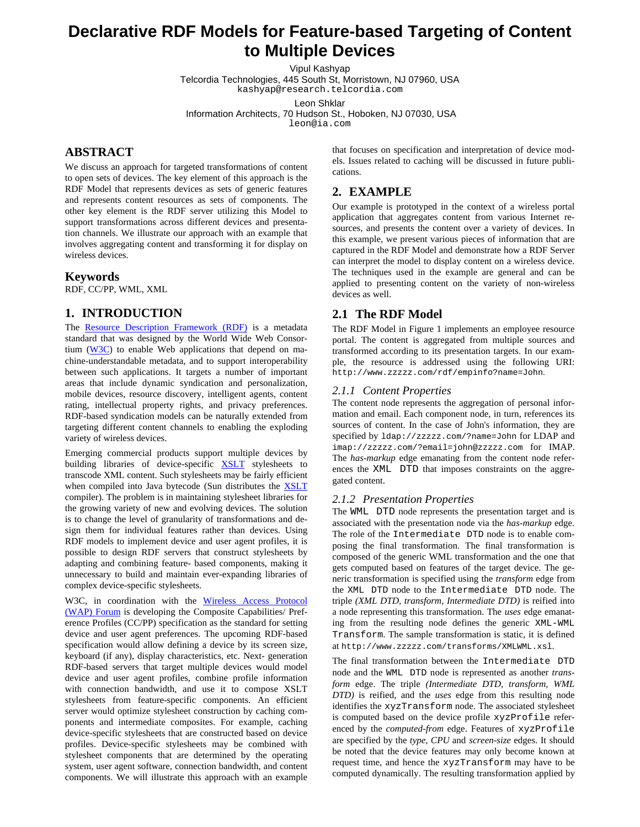# **Declarative RDF Models for Feature-based Targeting of Content to Multiple Devices**

Vipul Kashyap

Telcordia Technologies, 445 South St, Morristown, NJ 07960, USA kashyap@research.telcordia.com

Leon Shklar

Information Architects, 70 Hudson St., Hoboken, NJ 07030, USA

leon@ia.com

# **ABSTRACT**

We discuss an approach for targeted transformations of content to open sets of devices. The key element of this approach is the RDF Model that represents devices as sets of generic features and represents content resources as sets of components. The other key element is the RDF server utilizing this Model to support transformations across different devices and presentation channels. We illustrate our approach with an example that involves aggregating content and transforming it for display on wireless devices.

#### **Keywords**

RDF, CC/PP, WML, XML

## **1. INTRODUCTION**

The Resource Description Framework (RDF) is a metadata standard that was designed by the World Wide Web Consortium  $(W3C)$  to enable Web applications that depend on machine-understandable metadata, and to support interoperability between such applications. It targets a number of important areas that include dynamic syndication and personalization, mobile devices, resource discovery, intelligent agents, content rating, intellectual property rights, and privacy preferences. RDF-based syndication models can be naturally extended from targeting different content channels to enabling the exploding variety of wireless devices.

Emerging commercial products support multiple devices by building libraries of device-specific **XSLT** stylesheets to transcode XML content. Such stylesheets may be fairly efficient when compiled into Java bytecode (Sun distributes the **XSLT** compiler). The problem is in maintaining stylesheet libraries for the growing variety of new and evolving devices. The solution is to change the level of granularity of transformations and design them for individual features rather than devices. Using RDF models to implement device and user agent profiles, it is possible to design RDF servers that construct stylesheets by adapting and combining feature- based components, making it unnecessary to build and maintain ever-expanding libraries of complex device-specific stylesheets.

W3C, in coordination with the Wireless Access Protocol (WAP) Forum is developing the Composite Capabilities/ Preference Profiles (CC/PP) specification as the standard for setting device and user agent preferences. The upcoming RDF-based specification would allow defining a device by its screen size, keyboard (if any), display characteristics, etc. Next- generation RDF-based servers that target multiple devices would model device and user agent profiles, combine profile information with connection bandwidth, and use it to compose XSLT stylesheets from feature-specific components. An efficient server would optimize stylesheet construction by caching components and intermediate composites. For example, caching device-specific stylesheets that are constructed based on device profiles. Device-specific stylesheets may be combined with stylesheet components that are determined by the operating system, user agent software, connection bandwidth, and content components. We will illustrate this approach with an example that focuses on specification and interpretation of device models. Issues related to caching will be discussed in future publications.

# **2. EXAMPLE**

Our example is prototyped in the context of a wireless portal application that aggregates content from various Internet resources, and presents the content over a variety of devices. In this example, we present various pieces of information that are captured in the RDF Model and demonstrate how a RDF Server can interpret the model to display content on a wireless device. The techniques used in the example are general and can be applied to presenting content on the variety of non-wireless devices as well.

## **2.1 The RDF Model**

The RDF Model in Figure 1 implements an employee resource portal. The content is aggregated from multiple sources and transformed according to its presentation targets. In our example, the resource is addressed using the following URI: http://www.zzzzz.com/rdf/empinfo?name=John.

#### *2.1.1 Content Properties*

The content node represents the aggregation of personal information and email. Each component node, in turn, references its sources of content. In the case of John's information, they are specified by ldap://zzzzz.com/?name=John for LDAP and imap://zzzzz.com/?email=john@zzzzz.com for IMAP. The *has-markup* edge emanating from the content node references the XML DTD that imposes constraints on the aggregated content.

#### *2.1.2 Presentation Properties*

The WML DTD node represents the presentation target and is associated with the presentation node via the *has-markup* edge. The role of the Intermediate DTD node is to enable composing the final transformation. The final transformation is composed of the generic WML transformation and the one that gets computed based on features of the target device. The generic transformation is specified using the *transform* edge from the XML DTD node to the Intermediate DTD node. The triple *(XML DTD, transform, Intermediate DTD)* is reified into a node representing this transformation. The *uses* edge emanating from the resulting node defines the generic XML-WML Transform. The sample transformation is static, it is defined at http://www.zzzzz.com/transforms/XMLWML.xsl.

The final transformation between the Intermediate DTD node and the WML DTD node is represented as another *transform* edge. The triple *(Intermediate DTD, transform, WML DTD)* is reified, and the *uses* edge from this resulting node identifies the xyzTransform node. The associated stylesheet is computed based on the device profile xyzProfile referenced by the *computed-from* edge. Features of xyzProfile are specified by the *type*, *CPU* and *screen-size* edges. It should be noted that the device features may only become known at request time, and hence the xyzTransform may have to be computed dynamically. The resulting transformation applied by